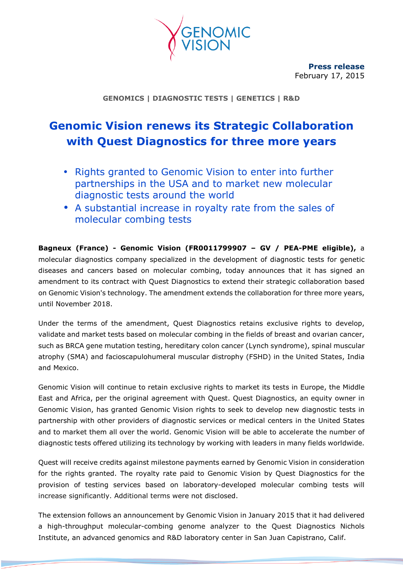

**Press release**  February 17, 2015

**GENOMICS | DIAGNOSTIC TESTS | GENETICS | R&D** 

# **Genomic Vision renews its Strategic Collaboration with Quest Diagnostics for three more years**

- Rights granted to Genomic Vision to enter into further partnerships in the USA and to market new molecular diagnostic tests around the world
- A substantial increase in royalty rate from the sales of molecular combing tests

**Bagneux (France) - Genomic Vision (FR0011799907 – GV / PEA-PME eligible),** a molecular diagnostics company specialized in the development of diagnostic tests for genetic diseases and cancers based on molecular combing, today announces that it has signed an amendment to its contract with Quest Diagnostics to extend their strategic collaboration based on Genomic Vision's technology. The amendment extends the collaboration for three more years, until November 2018.

Under the terms of the amendment, Quest Diagnostics retains exclusive rights to develop, validate and market tests based on molecular combing in the fields of breast and ovarian cancer, such as BRCA gene mutation testing, hereditary colon cancer (Lynch syndrome), spinal muscular atrophy (SMA) and facioscapulohumeral muscular distrophy (FSHD) in the United States, India and Mexico.

Genomic Vision will continue to retain exclusive rights to market its tests in Europe, the Middle East and Africa, per the original agreement with Quest. Quest Diagnostics, an equity owner in Genomic Vision, has granted Genomic Vision rights to seek to develop new diagnostic tests in partnership with other providers of diagnostic services or medical centers in the United States and to market them all over the world. Genomic Vision will be able to accelerate the number of diagnostic tests offered utilizing its technology by working with leaders in many fields worldwide.

Quest will receive credits against milestone payments earned by Genomic Vision in consideration for the rights granted. The royalty rate paid to Genomic Vision by Quest Diagnostics for the provision of testing services based on laboratory-developed molecular combing tests will increase significantly. Additional terms were not disclosed.

The extension follows an announcement by Genomic Vision in January 2015 that it had delivered a high-throughput molecular-combing genome analyzer to the Quest Diagnostics Nichols Institute, an advanced genomics and R&D laboratory center in San Juan Capistrano, Calif.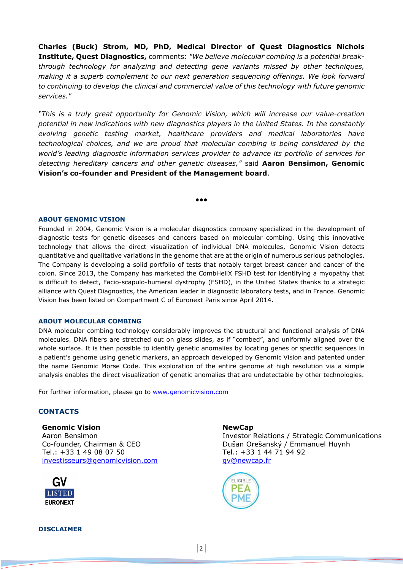**Charles (Buck) Strom, MD, PhD, Medical Director of Quest Diagnostics Nichols Institute, Quest Diagnostics,** comments: *"We believe molecular combing is a potential breakthrough technology for analyzing and detecting gene variants missed by other techniques, making it a superb complement to our next generation sequencing offerings. We look forward to continuing to develop the clinical and commercial value of this technology with future genomic services."*

*"This is a truly great opportunity for Genomic Vision, which will increase our value-creation potential in new indications with new diagnostics players in the United States. In the constantly evolving genetic testing market, healthcare providers and medical laboratories have technological choices, and we are proud that molecular combing is being considered by the world's leading diagnostic information services provider to advance its portfolio of services for detecting hereditary cancers and other genetic diseases,"* said **Aaron Bensimon, Genomic Vision's co-founder and President of the Management board**.

●●●

## **ABOUT GENOMIC VISION**

Founded in 2004, Genomic Vision is a molecular diagnostics company specialized in the development of diagnostic tests for genetic diseases and cancers based on molecular combing. Using this innovative technology that allows the direct visualization of individual DNA molecules, Genomic Vision detects quantitative and qualitative variations in the genome that are at the origin of numerous serious pathologies. The Company is developing a solid portfolio of tests that notably target breast cancer and cancer of the colon. Since 2013, the Company has marketed the CombHeliX FSHD test for identifying a myopathy that is difficult to detect, Facio-scapulo-humeral dystrophy (FSHD), in the United States thanks to a strategic alliance with Quest Diagnostics, the American leader in diagnostic laboratory tests, and in France. Genomic Vision has been listed on Compartment C of Euronext Paris since April 2014.

### **ABOUT MOLECULAR COMBING**

DNA molecular combing technology considerably improves the structural and functional analysis of DNA molecules. DNA fibers are stretched out on glass slides, as if "combed", and uniformly aligned over the whole surface. It is then possible to identify genetic anomalies by locating genes or specific sequences in a patient's genome using genetic markers, an approach developed by Genomic Vision and patented under the name Genomic Morse Code. This exploration of the entire genome at high resolution via a simple analysis enables the direct visualization of genetic anomalies that are undetectable by other technologies.

For further information, please go to www.genomicvision.com

## **CONTACTS**

**Genomic Vision** Aaron Bensimon Co-founder, Chairman & CEO Tel.: +33 1 49 08 07 50 investisseurs@genomicvision.com



#### **NewCap**

Investor Relations / Strategic Communications Dušan Orešanský / Emmanuel Huynh Tel.: +33 1 44 71 94 92 gv@newcap.fr